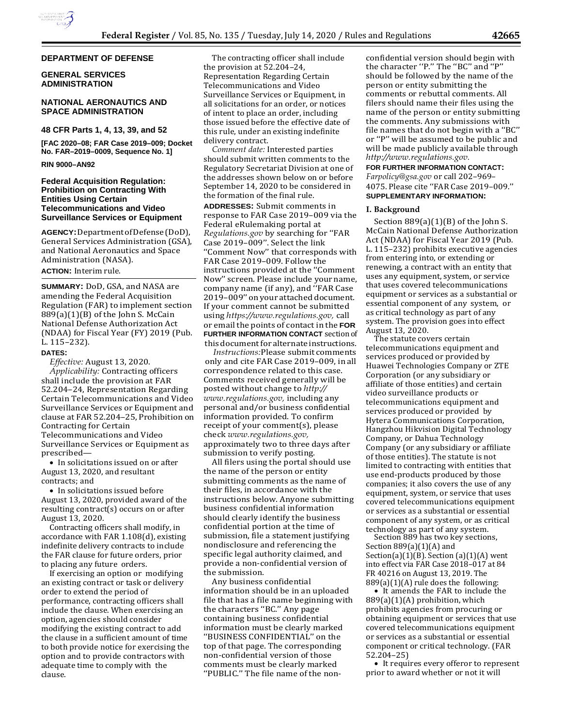

#### **DEPARTMENT OF DEFENSE**

# **GENERAL SERVICES ADMINISTRATION**

# **NATIONAL AERONAUTICS AND SPACE ADMINISTRATION**

#### **48 CFR Parts 1, 4, 13, 39, and 52**

**[FAC 2020–08; FAR Case 2019–009; Docket No. FAR–2019–0009, Sequence No. 1]**

# **RIN 9000–AN92**

# **Federal Acquisition Regulation: Prohibition on Contracting With Entities Using Certain Telecommunications and Video Surveillance Services or Equipment**

**AGENCY:**DepartmentofDefense(DoD), General Services Administration (GSA), and National Aeronautics and Space Administration (NASA).

# **ACTION:** Interim rule.

**SUMMARY:** DoD, GSA, and NASA are amending the Federal Acquisition Regulation (FAR) to implement section 889(a)(1)(B) of the John S. McCain National Defense Authorization Act (NDAA) for Fiscal Year (FY) 2019 (Pub. L. 115–232).

#### **DATES:**

*Effective:* August 13, 2020. *Applicability:* Contracting officers shall include the provision at FAR 52.204–24, Representation Regarding Certain Telecommunications and Video Surveillance Services or Equipment and clause at FAR 52.204–25, Prohibition on Contracting for Certain Telecommunications and Video Surveillance Services or Equipment as prescribed—

• In solicitations issued on or after August 13, 2020, and resultant contracts; and

• In solicitations issued before August 13, 2020, provided award of the resulting contract(s) occurs on or after August 13, 2020.

Contracting officers shall modify, in accordance with FAR 1.108(d), existing indefinite delivery contracts to include the FAR clause for future orders, prior to placing any future orders.

If exercising an option or modifying an existing contract or task or delivery order to extend the period of performance, contracting officers shall include the clause. When exercising an option, agencies should consider modifying the existing contract to add the clause in a sufficient amount of time to both provide notice for exercising the option and to provide contractors with adequate time to comply with the clause.

The contracting officer shall include the provision at 52.204–24, Representation Regarding Certain Telecommunications and Video Surveillance Services or Equipment, in all solicitations for an order, or notices of intent to place an order, including those issued before the effective date of this rule, under an existing indefinite delivery contract.

*Comment date:* Interested parties should submit written comments to the Regulatory Secretariat Division at one of the addresses shown below on or before September 14, 2020 to be considered in the formation of the final rule.

**ADDRESSES:** Submit comments in response to FAR Case 2019–009 via the Federal eRulemaking portal at *Regulations.gov* by searching for ''FAR Case 2019–009''. Select the link ''Comment Now'' that corresponds with FAR Case 2019–009. Follow the instructions provided at the ''Comment Now'' screen. Please include yourname, company name (if any), and ''FAR Case 2019–009'' on your attached document. If your comment cannot be submitted using *[https://www.regulations.gov,](https://www.regulations.gov/)* call or email the points of contact in the **FOR FURTHER INFORMATION CONTACT** sectionof this document for alternate instructions.

*Instructions:*Please submit comments only and cite FAR Case 2019–009, in all correspondence related to this case. Comments received generally will be posted without change to *[http://](http://www.regulations.gov/) [www.regulations.gov,](http://www.regulations.gov/)* including any personal and/or business confidential information provided. To confirm receipt of your comment(s), please check *[www.regulations.gov,](http://www.regulations.gov/)* approximately two to three days after submission to verify posting.

All filers using the portal should use the name of the person or entity submitting comments as the name of their files, in accordance with the instructions below. Anyone submitting business confidential information should clearly identify the business confidential portion at the time of submission, file a statement justifying nondisclosure and referencing the specific legal authority claimed, and provide a non-confidential version of the submission.

Any business confidential information should be in an uploaded file that has a file name beginning with the characters ''BC.'' Any page containing business confidential information must be clearly marked ''BUSINESS CONFIDENTIAL'' on the top of that page. The corresponding non-confidential version of those comments must be clearly marked ''PUBLIC.'' The file name of the non-

confidential version should begin with the character ''P.'' The ''BC'' and ''P'' should be followed by the name of the person or entity submitting the comments or rebuttal comments. All filers should name their files using the name of the person or entity submitting the comments. Any submissions with file names that do not begin with a ''BC'' or ''P'' will be assumed to be public and will be made publicly available through *[http://www.regulations.gov.](http://www.regulations.gov/)*

**FOR FURTHER INFORMATION CONTACT:** *[Farpolicy@gsa.gov](mailto:Farpolicy@gsa.gov)* or call 202–969– 4075. Please cite ''FAR Case 2019–009.'' **SUPPLEMENTARY INFORMATION:**

# **I. Background**

Section  $889(a)(1)(B)$  of the John S. McCain National Defense Authorization Act (NDAA) for Fiscal Year 2019 (Pub. L. 115–232) prohibits executive agencies from entering into, or extending or renewing, a contract with an entity that uses any equipment, system, or service that uses covered telecommunications equipment or services as a substantial or essential component of any system, or as critical technology as part of any system. The provision goes into effect August 13, 2020.

The statute covers certain telecommunications equipment and services produced or provided by Huawei Technologies Company or ZTE Corporation (or any subsidiary or affiliate of those entities) and certain video surveillance products or telecommunications equipment and services produced or provided by Hytera Communications Corporation, Hangzhou Hikvision Digital Technology Company, or Dahua Technology Company (or any subsidiary or affiliate of those entities). The statute is not limited to contracting with entities that use end-products produced by those companies; it also covers the use of any equipment, system, or service that uses covered telecommunications equipment or services as a substantial or essential component of any system, or as critical technology as part of any system.

Section 889 has two key sections, Section 889(a)(1)(A) and Section(a)(1)(B). Section (a)(1)(A) went into effect via FAR Case 2018–017 at 84 FR 40216 on August 13, 2019. The  $889(a)(1)(A)$  rule does the following:

• It amends the FAR to include the 889(a)(1)(A) prohibition, which prohibits agencies from procuring or obtaining equipment or services that use covered telecommunications equipment or services as a substantial or essential component or critical technology. (FAR 52.204–25)

• It requires every offeror to represent prior to award whether or not it will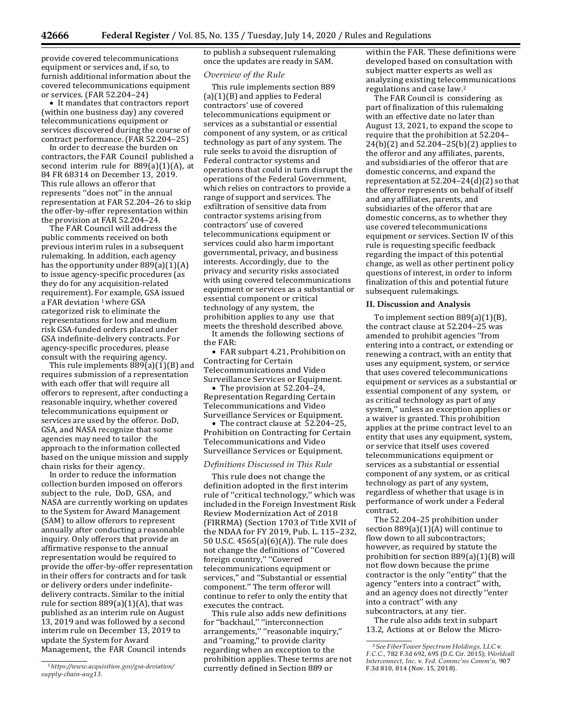provide covered telecommunications equipment or services and, if so, to furnish additional information about the covered telecommunications equipment or services. (FAR 52.204–24)

• It mandates that contractors report (within one business day) any covered telecommunications equipment or services discovered during the course of contract performance. (FAR 52.204–25)

In order to decrease the burden on contractors, the FAR Council published a second interim rule for 889(a)(1)(A), at 84 FR 68314 on December 13, 2019. This rule allows an offeror that represents ''does not'' in the annual representation at FAR 52.204–26 to skip the offer-by-offer representation within the provision at FAR 52.204–24.

The FAR Council will address the public comments received on both previous interim rules in a subsequent rulemaking. In addition, each agency has the opportunity under 889(a)(1)(A) to issue agency-specific procedures (as they do for any acquisition-related requirement). For example, GSA issued a FAR deviation <sup>1</sup> where GSA categorized risk to eliminate the representations for low and medium risk GSA-funded orders placed under GSA indefinite-delivery contracts. For agency-specific procedures, please consult with the requiring agency.

This rule implements 889(a)(1)(B) and requires submission of a representation with each offer that will require all offerors to represent, after conducting a reasonable inquiry, whether covered telecommunications equipment or services are used by the offeror. DoD, GSA, and NASA recognize that some agencies may need to tailor the approach to the information collected based on the unique mission and supply chain risks for their agency.

In order to reduce the information collection burden imposed on offerors subject to the rule, DoD, GSA, and NASA are currently working on updates to the System for Award Management (SAM) to allow offerors to represent annually after conducting a reasonable inquiry. Only offerors that provide an affirmative response to the annual representation would be required to provide the offer-by-offer representation in their offers for contracts and for task or delivery orders under indefinitedelivery contracts. Similar to the initial rule for section  $889(a)(1)(A)$ , that was published as an interim rule on August 13, 2019 and was followed by a second interim rule on December 13, 2019 to update the System for Award Management, the FAR Council intends

to publish a subsequent rulemaking once the updates are ready in SAM.

#### *Overview of the Rule*

This rule implements section 889 (a)(1)(B) and applies to Federal contractors' use of covered telecommunications equipment or services as a substantial or essential component of any system, or as critical technology as part of any system. The rule seeks to avoid the disruption of Federal contractor systems and operations that could in turn disrupt the operations of the Federal Government, which relies on contractors to provide a range of support and services. The exfiltration of sensitive data from contractor systems arising from contractors' use of covered telecommunications equipment or services could also harm important governmental, privacy, and business interests. Accordingly, due to the privacy and security risks associated with using covered telecommunications equipment or services as a substantial or essential component or critical technology of any system, the prohibition applies to any use that meets the threshold described above. It amends the following sections of the FAR:

• FAR subpart 4.21, Prohibition on Contracting for Certain Telecommunications and Video Surveillance Services or Equipment.

• The provision at 52.204–24, Representation Regarding Certain Telecommunications and Video Surveillance Services or Equipment.

• The contract clause at 52.204–25, Prohibition on Contracting for Certain Telecommunications and Video Surveillance Services or Equipment.

#### *Definitions Discussed in This Rule*

This rule does not change the definition adopted in the first interim rule of ''critical technology,'' which was included in the Foreign Investment Risk Review Modernization Act of 2018 (FIRRMA) (Section 1703 of Title XVII of the NDAA for FY 2019, Pub. L. 115–232, 50 U.S.C. 4565(a)(6)(A)). The rule does not change the definitions of ''Covered foreign country,'' ''Covered telecommunications equipment or services,'' and ''Substantial or essential component.'' The term offeror will continue to refer to only the entity that executes the contract.

This rule also adds new definitions for ''backhaul,'' ''interconnection arrangements,'' ''reasonable inquiry,'' and ''roaming,'' to provide clarity regarding when an exception to the prohibition applies. These terms are not currently defined in Section 889 or

within the FAR. These definitions were developed based on consultation with subject matter experts as well as analyzing existing telecommunications regulations and case law.2

The FAR Council is considering as part of finalization of this rulemaking with an effective date no later than August 13, 2021, to expand the scope to require that the prohibition at 52.204– 24(b)(2) and 52.204–25(b)(2) applies to the offeror and any affiliates, parents, and subsidiaries of the offeror that are domestic concerns, and expand the representation at 52.204–24(d)(2) so that the offeror represents on behalf of itself and any affiliates, parents, and subsidiaries of the offeror that are domestic concerns, as to whether they use covered telecommunications equipment or services. Section IV of this rule is requesting specific feedback regarding the impact of this potential change, as well as other pertinent policy questions of interest, in order to inform finalization of this and potential future subsequent rulemakings.

## **II. Discussion and Analysis**

To implement section 889(a)(1)(B), the contract clause at 52.204–25 was amended to prohibit agencies ''from entering into a contract, or extending or renewing a contract, with an entity that uses any equipment, system, or service that uses covered telecommunications equipment or services as a substantial or essential component of any system, or as critical technology as part of any system,'' unless an exception applies or a waiver is granted. This prohibition applies at the prime contract level to an entity that uses any equipment, system, or service that itself uses covered telecommunications equipment or services as a substantial or essential component of any system, or as critical technology as part of any system, regardless of whether that usage is in performance of work under a Federal contract.

The 52.204–25 prohibition under section  $889(a)(1)(A)$  will continue to flow down to all subcontractors; however, as required by statute the prohibition for section 889(a)(1)(B) will not flow down because the prime contractor is the only ''entity'' that the agency ''enters into a contract'' with, and an agency does not directly ''enter into a contract'' with any subcontractors, at any tier.

The rule also adds text in subpart 13.2, Actions at or Below the Micro-

<sup>1</sup>*[https://www.acquisition.gov/gsa-deviation/](https://www.acquisition.gov/gsa-deviation/supply-chain-aug13) [supply-chain-aug13.](https://www.acquisition.gov/gsa-deviation/supply-chain-aug13)*

<sup>2</sup>*See FiberTower Spectrum Holdings, LLC* v. *F.C.C.,* 782 F.3d 692, 695 (D.C. Cir. 2015); *Worldcall Interconnect, Inc.* v. *Fed. Commc'ns Comm'n,* 907 F.3d 810, 814 (Nov. 15, 2018).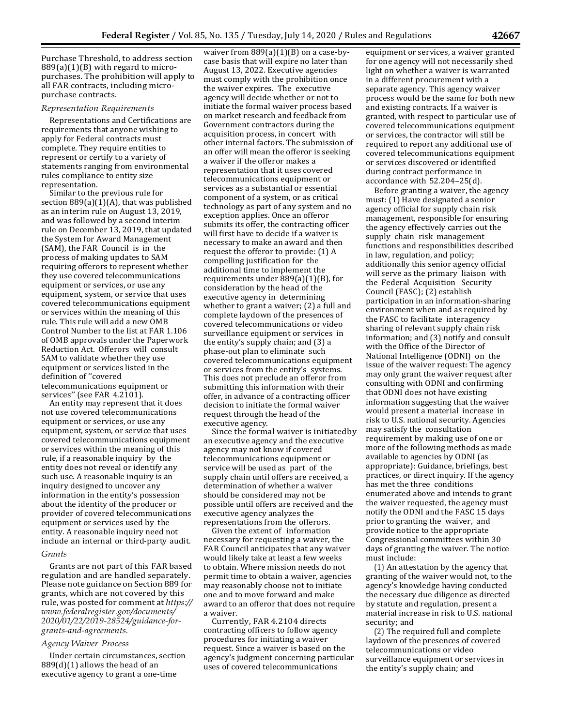Purchase Threshold, to address section 889(a)(1)(B) with regard to micropurchases. The prohibition will apply to all FAR contracts, including micropurchase contracts.

#### *Representation Requirements*

Representations and Certifications are requirements that anyone wishing to apply for Federal contracts must complete. They require entities to represent or certify to a variety of statements ranging from environmental rules compliance to entity size representation.

Similar to the previous rule for section 889(a)(1)(A), that was published as an interim rule on August 13, 2019, and was followed by a second interim rule on December 13, 2019, that updated the System for Award Management (SAM), the FAR Council is in the process of making updates to SAM requiring offerors to represent whether they use covered telecommunications equipment or services, or use any equipment, system, or service that uses covered telecommunications equipment or services within the meaning of this rule. This rule will add a new OMB Control Number to the list at FAR 1.106 of OMB approvals under the Paperwork Reduction Act. Offerors will consult SAM to validate whether they use equipment or services listed in the definition of ''covered telecommunications equipment or services'' (see FAR 4.2101).

An entity may represent that it does not use covered telecommunications equipment or services, or use any equipment, system, or service that uses covered telecommunications equipment or services within the meaning of this rule, if a reasonable inquiry by the entity does not reveal or identify any such use. A reasonable inquiry is an inquiry designed to uncover any information in the entity's possession about the identity of the producer or provider of covered telecommunications equipment or services used by the entity. A reasonable inquiry need not include an internal or third-party audit.

#### *Grants*

Grants are not part of this FAR based regulation and are handled separately. Please note guidance on Section 889 for grants, which are not covered by this rule, was posted for comment at *[https://](https://www.federalregister.gov/documents/2020/01/22/2019-28524/guidance-for-grants-and-agreements) [www.federalregister.gov/documents/](https://www.federalregister.gov/documents/2020/01/22/2019-28524/guidance-for-grants-and-agreements) [2020/01/22/2019-28524/guidance-for](https://www.federalregister.gov/documents/2020/01/22/2019-28524/guidance-for-grants-and-agreements)[grants-and-agreements.](https://www.federalregister.gov/documents/2020/01/22/2019-28524/guidance-for-grants-and-agreements)*

#### *Agency Waiver Process*

Under certain circumstances, section  $889(d)(1)$  allows the head of an executive agency to grant a one-time

waiver from  $889(a)(1)(B)$  on a case-bycase basis that will expire no later than August 13, 2022. Executive agencies must comply with the prohibition once the waiver expires. The executive agency will decide whether or not to initiate the formal waiver process based on market research and feedback from Government contractors during the acquisition process, in concert with other internal factors. The submission of an offer will mean the offeror is seeking a waiver if the offeror makes a representation that it uses covered telecommunications equipment or services as a substantial or essential component of a system, or as critical technology as part of any system and no exception applies. Once an offeror submits its offer, the contracting officer will first have to decide if a waiver is necessary to make an award and then request the offeror to provide: (1) A compelling justification for the additional time to implement the requirements under 889(a)(1)(B), for consideration by the head of the executive agency in determining whether to grant a waiver; (2) a full and complete laydown of the presences of covered telecommunications or video surveillance equipment or services in the entity's supply chain; and (3) a phase-out plan to eliminate such covered telecommunications equipment or services from the entity's systems. This does not preclude an offeror from submitting this information with their offer, in advance of a contracting officer decision to initiate the formal waiver request through the head of the executive agency.

Since the formal waiver is initiatedby an executive agency and the executive agency may not know if covered telecommunications equipment or service will be used as part of the supply chain until offers are received, a determination of whether a waiver should be considered may not be possible until offers are received and the executive agency analyzes the representations from the offerors.

Given the extent of information necessary for requesting a waiver, the FAR Council anticipates that any waiver would likely take at least a few weeks to obtain. Where mission needs do not permit time to obtain a waiver, agencies may reasonably choose not to initiate one and to move forward and make award to an offeror that does not require a waiver.

Currently, FAR 4.2104 directs contracting officers to follow agency procedures for initiating a waiver request. Since a waiver is based on the agency's judgment concerning particular uses of covered telecommunications

equipment or services, a waiver granted for one agency will not necessarily shed light on whether a waiver is warranted in a different procurement with a separate agency. This agency waiver process would be the same for both new and existing contracts. If a waiver is granted, with respect to particular use of covered telecommunications equipment or services, the contractor will still be required to report any additional use of covered telecommunications equipment or services discovered or identified during contract performance in accordance with 52.204–25(d).

Before granting a waiver, the agency must: (1) Have designated a senior agency official for supply chain risk management, responsible for ensuring the agency effectively carries out the supply chain risk management functions and responsibilities described in law, regulation, and policy; additionally this senior agency official will serve as the primary liaison with the Federal Acquisition Security Council (FASC); (2) establish participation in an information-sharing environment when and as required by the FASC to facilitate interagency sharing of relevant supply chain risk information; and (3) notify and consult with the Office of the Director of National Intelligence (ODNI) on the issue of the waiver request: The agency may only grant the waiver request after consulting with ODNI and confirming that ODNI does not have existing information suggesting that the waiver would present a material increase in risk to U.S. national security. Agencies may satisfy the consultation requirement by making use of one or more of the following methods as made available to agencies by ODNI (as appropriate): Guidance, briefings, best practices, or direct inquiry. If the agency has met the three conditions enumerated above and intends to grant the waiver requested, the agency must notify the ODNI and the FASC 15 days prior to granting the waiver, and provide notice to the appropriate Congressional committees within 30 days of granting the waiver. The notice must include:

(1) An attestation by the agency that granting of the waiver would not, to the agency's knowledge having conducted the necessary due diligence as directed by statute and regulation, present a material increase in risk to U.S. national security; and

(2) The required full and complete laydown of the presences of covered telecommunications or video surveillance equipment or services in the entity's supply chain; and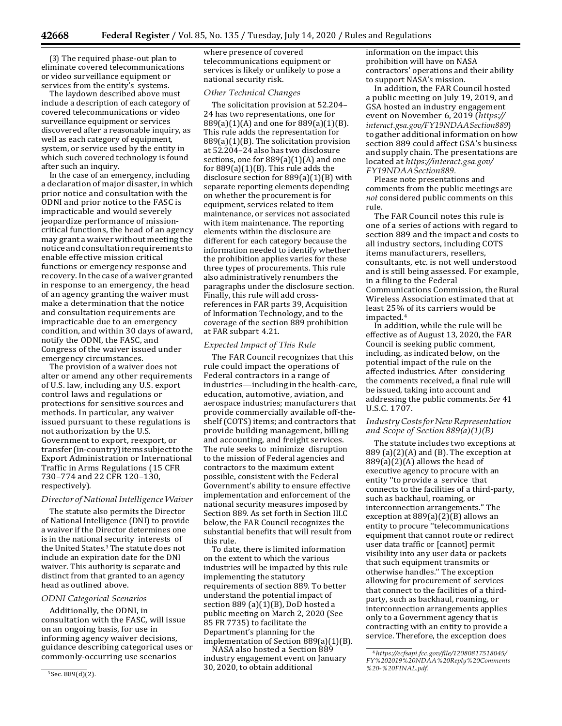(3) The required phase-out plan to eliminate covered telecommunications or video surveillance equipment or services from the entity's systems.

The laydown described above must include a description of each category of covered telecommunications or video surveillance equipment or services discovered after a reasonable inquiry, as well as each category of equipment, system, or service used by the entity in which such covered technology is found after such an inquiry.

In the case of an emergency, including a declaration of major disaster, in which prior notice and consultation with the ODNI and prior notice to the FASC is impracticable and would severely jeopardize performance of missioncritical functions, the head of an agency may grant a waiver without meeting the notice andconsultationrequirements to enable effective mission critical functions or emergency response and recovery.In the case of a waiver granted in response to an emergency, the head of an agency granting the waiver must make a determination that the notice and consultation requirements are impracticable due to an emergency condition, and within 30 days ofaward, notify the ODNI, the FASC, and Congress of the waiver issued under emergency circumstances.

The provision of a waiver does not alter or amend any other requirements of U.S. law, including any U.S. export control laws and regulations or protections for sensitive sources and methods. In particular, any waiver issued pursuant to these regulations is not authorization by the U.S. Government to export, reexport, or transfer(in-country)itemssubjecttothe Export Administration or International Traffic in Arms Regulations (15 CFR 730–774 and 22 CFR 120–130, respectively).

# *Director of National Intelligence Waiver*

The statute also permits the Director of National Intelligence (DNI) to provide a waiver if the Director determines one is in the national security interests of the United States.3 The statute does not include an expiration date for the DNI waiver. This authority is separate and distinct from that granted to an agency head as outlined above.

#### *ODNI Categorical Scenarios*

Additionally, the ODNI, in consultation with the FASC, will issue on an ongoing basis, for use in informing agency waiver decisions, guidance describing categorical uses or commonly-occurring use scenarios

where presence of covered telecommunications equipment or services is likely or unlikely to pose a national security risk.

#### *Other Technical Changes*

The solicitation provision at 52.204– 24 has two representations, one for 889(a)(1)(A) and one for 889(a)(1)(B). This rule adds the representation for 889(a)(1)(B). The solicitation provision at 52.204–24 also has two disclosure sections, one for  $889(a)(1)(A)$  and one for  $889(a)(1)(B)$ . This rule adds the disclosure section for 889(a)(1)(B) with separate reporting elements depending on whether the procurement is for equipment, services related to item maintenance, or services not associated with item maintenance. The reporting elements within the disclosure are different for each category because the information needed to identify whether the prohibition applies varies for these three types of procurements. This rule also administratively renumbers the paragraphs under the disclosure section. Finally, this rule will add crossreferences in FAR parts 39, Acquisition of Information Technology, and to the coverage of the section 889 prohibition at FAR subpart 4.21.

#### *Expected Impact of This Rule*

The FAR Council recognizes that this rule could impact the operations of Federal contractors in a range of industries—including in the health-care, education, automotive, aviation, and aerospace industries; manufacturers that provide commercially available off-theshelf (COTS) items; and contractors that provide building management, billing and accounting, and freight services. The rule seeks to minimize disruption to the mission of Federal agencies and contractors to the maximum extent possible, consistent with the Federal Government's ability to ensure effective implementation and enforcement of the national security measures imposed by Section 889. As set forth in Section III.C below, the FAR Council recognizes the substantial benefits that will result from this rule.

To date, there is limited information on the extent to which the various industries will be impacted by this rule implementing the statutory requirements of section 889. To better understand the potential impact of section 889 (a)(1)(B), DoD hosted a public meeting on March 2, 2020 (See 85 FR 7735) to facilitate the Department's planning for the implementation of Section 889(a)(1)(B).

NASA also hosted a Section 889 industry engagement event on January 30, 2020, to obtain additional

information on the impact this prohibition will have on NASA contractors' operations and their ability to support NASA's mission.

In addition, the FAR Council hosted a public meeting on July 19, 2019, and GSA hosted an industry engagement event on November 6, 2019 (*[https://](https://interact.gsa.gov/FY19NDAASection889) [interact.gsa.gov/FY19NDAASection889](https://interact.gsa.gov/FY19NDAASection889)*) to gather additional information on how section 889 could affect GSA's business and supply chain. The presentations are located at *[https://interact.gsa.gov/](https://interact.gsa.gov/FY19NDAASection889) [FY19NDAASection889.](https://interact.gsa.gov/FY19NDAASection889)*

Please note presentations and comments from the public meetings are *not* considered public comments on this rule.

The FAR Council notes this rule is one of a series of actions with regard to section 889 and the impact and costs to all industry sectors, including COTS items manufacturers, resellers, consultants, etc. is not well understood and is still being assessed. For example, in a filing to the Federal Communications Commission, theRural Wireless Association estimated that at least 25% of its carriers would be impacted.4

In addition, while the rule will be effective as of August 13, 2020, the FAR Council is seeking public comment, including, as indicated below, on the potential impact of the rule on the affected industries. After considering the comments received, a final rule will be issued, taking into account and addressing the public comments.*See* 41 U.S.C. 1707.

# *IndustryCostsforNewRepresentation and Scope of Section 889(a)(1)(B)*

The statute includes two exceptions at  $889$  (a)(2)(A) and (B). The exception at  $889(a)(2)(A)$  allows the head of executive agency to procure with an entity ''to provide a service that connects to the facilities of a third-party, such as backhaul, roaming, or interconnection arrangements.'' The exception at 889(a)(2)(B) allows an entity to procure ''telecommunications equipment that cannot route or redirect user data traffic or [cannot] permit visibility into any user data or packets that such equipment transmits or otherwise handles.'' The exception allowing for procurement of services that connect to the facilities of a thirdparty, such as backhaul, roaming, or interconnection arrangements applies only to a Government agency that is contracting with an entity to provide a service. Therefore, the exception does

<sup>3</sup> Sec. 889(d)(2).

<sup>4</sup>*[https://ecfsapi.fcc.gov/file/12080817518045/](https://ecfsapi.fcc.gov/file/12080817518045/FY%202019%20NDAA%20Reply%20Comments%20-%20FINAL.pdf) [FY%202019%20NDAA%20Reply%20Comments](https://ecfsapi.fcc.gov/file/12080817518045/FY%202019%20NDAA%20Reply%20Comments%20-%20FINAL.pdf) [%20-%20FINAL.pdf.](https://ecfsapi.fcc.gov/file/12080817518045/FY%202019%20NDAA%20Reply%20Comments%20-%20FINAL.pdf)*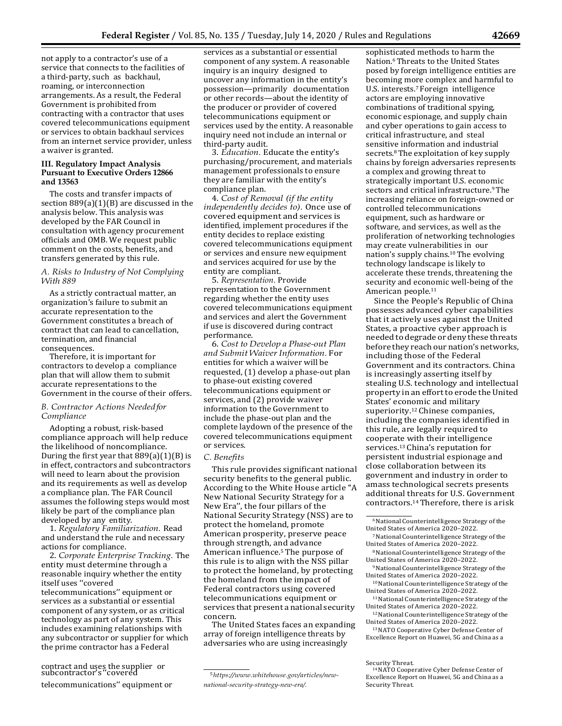not apply to a contractor's use of a service that connects to the facilities of a third-party, such as backhaul, roaming, or interconnection arrangements. As a result, the Federal Government is prohibited from contracting with a contractor that uses covered telecommunications equipment or services to obtain backhaul services from an internet service provider, unless a waiver is granted.

#### **III. Regulatory Impact Analysis Pursuant to Executive Orders 12866 and 13563**

The costs and transfer impacts of section 889(a)(1)(B) are discussed in the analysis below. This analysis was developed by the FAR Council in consultation with agency procurement officials and OMB. We request public comment on the costs, benefits, and transfers generated by this rule.

### *A. Risks to Industry of Not Complying With 889*

As a strictly contractual matter, an organization's failure to submit an accurate representation to the Government constitutes a breach of contract that can lead to cancellation, termination, and financial consequences.

Therefore, it is important for contractors to develop a compliance plan that will allow them to submit accurate representations to the Government in the course of their offers.

# *B. Contractor Actions Neededfor Compliance*

Adopting a robust, risk-based compliance approach will help reduce the likelihood of noncompliance. During the first year that  $889(a)(1)(B)$  is in effect, contractors and subcontractors will need to learn about the provision and its requirements as well as develop a compliance plan. The FAR Council assumes the following steps would most likely be part of the compliance plan developed by any entity.

1. *Regulatory Familiarization.* Read and understand the rule and necessary actions for compliance.

2. *Corporate Enterprise Tracking.* The entity must determine through a reasonable inquiry whether the entity itself uses ''covered telecommunications'' equipment or services as a substantial or essential component of any system, or as critical technology as part of any system. This includes examining relationships with any subcontractor or supplier for which the prime contractor has a Federal

# contract and uses the supplier or  $\frac{5 \cdot \frac{1}{2} \cdot 5 \cdot \frac{1}{2}}{5 \cdot \frac{1}{2} \cdot \frac{1}{2} \cdot \frac{1}{2}}$  subcontractor's "covered

telecommunications" equipment or *national-security-strategy-new-era*/.

services as a substantial or essential component of any system. A reasonable inquiry is an inquiry designed to uncover any information in the entity's possession—primarily documentation or other records—about the identity of the producer or provider of covered telecommunications equipment or services used by the entity. A reasonable inquiry need not include an internal or third-party audit.

3. *Education.* Educate the entity's purchasing/procurement, and materials management professionals to ensure they are familiar with the entity's compliance plan.

4. *Cost of Removal (if the entity independently decides to).* Once use of covered equipment and services is identified, implement procedures if the entity decides to replace existing covered telecommunications equipment or services and ensure new equipment and services acquired for use by the entity are compliant.

5. *Representation.* Provide representation to the Government regarding whether the entity uses covered telecommunications equipment and services and alert the Government if use is discovered during contract performance.

6. *Cost to Develop a Phase-out Plan and Submit WaiverInformation.* For entities for which a waiver will be requested, (1) develop a phase-out plan to phase-out existing covered telecommunications equipment or services, and (2) provide waiver information to the Government to include the phase-out plan and the complete laydown of the presence of the covered telecommunications equipment or services.

### *C. Benefits*

This rule provides significant national security benefits to the general public. According to the White House article ''A New National Security Strategy for a New Era'', the four pillars of the National Security Strategy (NSS) are to protect the homeland, promote American prosperity, preserve peace through strength, and advance American influence.<sup>5</sup> The purpose of this rule is to align with the NSS pillar to protect the homeland, by protecting the homeland from the impact of Federal contractors using covered telecommunications equipment or services that present a national security concern.

The United States faces an expanding array of foreign intelligence threats by adversaries who are using increasingly

sophisticated methods to harm the Nation.6 Threats to the United States posed by foreign intelligence entities are becoming more complex and harmful to U.S. interests.7 Foreign intelligence actors are employing innovative combinations of traditional spying, economic espionage, and supply chain and cyber operations to gain access to critical infrastructure, and steal sensitive information and industrial secrets.8 The exploitation of key supply chains by foreign adversaries represents a complex and growing threat to strategically important U.S. economic sectors and critical infrastructure.<sup>9</sup> The increasing reliance on foreign-owned or controlled telecommunications equipment, such as hardware or software, and services, as well as the proliferation of networking technologies may create vulnerabilities in our nation's supply chains.10 The evolving technology landscape is likely to accelerate these trends, threatening the security and economic well-being of the American people.11

Since the People's Republic of China possesses advanced cyber capabilities that it actively uses against the United States, a proactive cyber approach is needed to degrade or deny these threats before they reach our nation's networks, including those of the Federal Government and its contractors. China is increasingly asserting itself by stealing U.S. technology and intellectual property in an effort to erode the United States' economic and military superiority.12 Chinese companies, including the companies identified in this rule, are legally required to cooperate with their intelligence services.13 China's reputation for persistent industrial espionage and close collaboration between its government and industry in order to amass technological secrets presents additional threats for U.S. Government contractors.14 Therefore, there is arisk

8National Counterintelligence Strategy of the United States of America 2020–2022.

- 10National Counterintelligence Strategy of the United States of America 2020–2022.
- 11National Counterintelligence Strategy of the United States of America 2020–2022.
- 12National Counterintelligence Strategy of the United States of America 2020–2022.
- 13 NATO Cooperative Cyber Defense Center of Excellence Report on Huawei, 5G and China as a

<sup>6</sup>National Counterintelligence Strategy of the United States of America 2020–2022.

<sup>7</sup>National Counterintelligence Strategy of the United States of America 2020–2022.

<sup>9</sup>National Counterintelligence Strategy of the United States of America 2020–2022.

Security Threat.<br><sup>14</sup> NATO Cooperative Cyber Defense Center of Excellence Report on Huawei, 5G and China as a<br>Security Threat.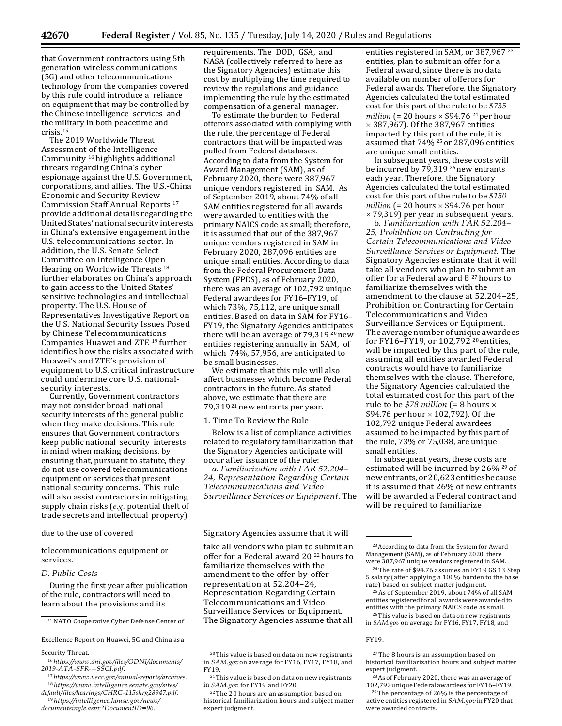**42670 Federal Register** / Vol. 85, No. 135 / Tuesday, July 14, 2020 / Rules and Regulations

that Government contractors using 5th generation wireless communications (5G) and other telecommunications technology from the companies covered by this rule could introduce a reliance on equipment that may be controlled by the Chinese intelligence services and the military in both peacetime and crisis.15

The 2019 Worldwide Threat Assessment of the Intelligence Community 16 highlights additional threats regarding China's cyber espionage against the U.S. Government, corporations, and allies. The U.S.-China Economic and Security Review Commission Staff Annual Reports 17 provide additional details regarding the United States' national security interests in China's extensive engagement inthe U.S. telecommunications sector. In addition, the U.S. Senate Select Committee on Intelligence Open Hearing on Worldwide Threats 18 further elaborates on China's approach to gain access to the United States' sensitive technologies and intellectual property. The U.S. House of Representatives Investigative Report on the U.S. National Security Issues Posed by Chinese Telecommunications Companies Huawei and ZTE 19 further identifies how the risks associated with Huawei's and ZTE's provision of equipment to U.S. critical infrastructure could undermine core U.S. nationalsecurity interests.

Currently, Government contractors may not consider broad national security interests of the general public when they make decisions. This rule ensures that Government contractors keep public national security interests in mind when making decisions, by ensuring that, pursuant to statute, they do not use covered telecommunications equipment or services that present national security concerns. This rule will also assist contractors in mitigating supply chain risks (*e.g.* potential theft of trade secrets and intellectual property)

telecommunications equipment or services.

#### *D. Public Costs*

During the first year after publication of the rule, contractors will need to learn about the provisions and its

15 NATO Cooperative Cyber Defense Center of

Security Threat.

requirements. The DOD, GSA, and NASA (collectively referred to here as the Signatory Agencies) estimate this cost by multiplying the time required to review the regulations and guidance implementing the rule by the estimated compensation of a general manager.

To estimate the burden to Federal offerors associated with complying with the rule, the percentage of Federal contractors that will be impacted was pulled from Federal databases. According to data from the System for Award Management (SAM), as of February 2020, there were 387,967 unique vendors registered in SAM. As of September 2019, about 74% of all SAM entities registered for all awards were awarded to entities with the primary NAICS code as small; therefore, it is assumed that out of the 387,967 unique vendors registered in SAM in February 2020, 287,096 entities are unique small entities. According to data from the Federal Procurement Data System (FPDS), as of February 2020, there was an average of 102,792 unique Federal awardees for FY16–FY19, of which 73%, 75,112, are unique small entities. Based on data in SAM for FY16– FY19, the Signatory Agencies anticipates there will be an average of 79,319 20 new entities registering annually in SAM, of which 74%, 57,956, are anticipated to be small businesses.

We estimate that this rule will also affect businesses which become Federal contractors in the future. As stated above, we estimate that there are 79,319<sup>21</sup> new entrants per year.

1. Time To Review the Rule

Below is a list of compliance activities related to regulatory familiarization that the Signatory Agencies anticipate will occur after issuance of the rule:

*a. Familiarization with FAR 52.204– 24, Representation Regarding Certain Telecommunications and Video Surveillance Services or Equipment.* The

due to the use of covered states are Signatory Agencies assume that it will

take all vendors who plan to submit an offer for a Federal award 20 22 hours to familiarize themselves with the amendment to the offer-by-offer representation at 52.204–24, Representation Regarding Certain Telecommunications and Video Surveillance Services or Equipment. The Signatory Agencies assume that all

entities registered in SAM, or 387,967<sup>23</sup> entities, plan to submit an offer for a Federal award, since there is no data available on number of offerors for Federal awards. Therefore, the Signatory Agencies calculated the total estimated cost for this part of the rule to be *\$735 million*  $(= 20 \text{ hours} \times $94.76 \text{ <sup>24</sup>}$  per hour × 387,967). Of the 387,967 entities impacted by this part of the rule, it is assumed that 74% 25 or 287,096 entities are unique small entities.

In subsequent years, these costs will be incurred by 79,319<sup>26</sup> new entrants each year. Therefore, the Signatory Agencies calculated the total estimated cost for this part of the rule to be *\$150 million*  $(= 20 \text{ hours} \times $94.76 \text{ per hour})$ × 79,319) per year in subsequent years.

b. *Familiarization with FAR 52.204– 25, Prohibition on Contracting for Certain Telecommunications and Video Surveillance Services or Equipment.* The Signatory Agencies estimate that it will take all vendors who plan to submit an offer for a Federal award 8<sup>27</sup> hours to familiarize themselves with the amendment to the clause at 52.204–25, Prohibition on Contracting for Certain Telecommunications and Video Surveillance Services or Equipment. The average number of unique awardees for FY16–FY19, or 102,792 28 entities, will be impacted by this part of the rule, assuming all entities awarded Federal contracts would have to familiarize themselves with the clause. Therefore, the Signatory Agencies calculated the total estimated cost for this part of the rule to be *\$78 million* (= 8 hours × \$94.76 per hour  $\times$  102,792). Of the 102,792 unique Federal awardees assumed to be impacted by this part of the rule, 73% or 75,038, are unique small entities.

In subsequent years, these costs are estimated will be incurred by 26% 29 of newentrants,or20,623entitiesbecause it is assumed that 26% of new entrants will be awarded a Federal contract and will be required to familiarize

Excellence Report on Huawei, 5G and China as a FIC CONSERVENT ASSESSMENT ASSESSMENT ASSESSMENT ASSESSMENT ASSESSMENT ASSESSMENT ASSESSMENT ASSESSMENT ASSESSMENT ASSESSMENT ASSESSMENT ASSESSMENT ASSESSMENT ASSESSMENT ASSESS

<sup>16</sup>*[https://www.dni.gov/files/ODNI/documents/](https://www.dni.gov/files/ODNI/documents/2019-ATA-SFR---SSCI.pdf) [2019-ATA-SFR---SSCI.pdf.](https://www.dni.gov/files/ODNI/documents/2019-ATA-SFR---SSCI.pdf)*

<sup>17</sup>*[https://www.uscc.gov/annual-reports/archives.](https://www.uscc.gov/annual-reports/archives)* <sup>18</sup>*[https://www.intelligence.senate.gov/sites/](https://www.intelligence.senate.gov/sites/default/files/hearings/CHRG-115shrg28947.pdf) [default/files/hearings/CHRG-115shrg28947.pdf.](https://www.intelligence.senate.gov/sites/default/files/hearings/CHRG-115shrg28947.pdf)*

<sup>19</sup>*[https://intelligence.house.gov/news/](https://intelligence.house.gov/news/documentsingle.aspx?DocumentID=96) [documentsingle.aspx?DocumentID=96.](https://intelligence.house.gov/news/documentsingle.aspx?DocumentID=96)*

<sup>20</sup>This value is based on data on new registrants in *SAM.gov*on average for FY16, FY17, FY18, and FY19.

<sup>&</sup>lt;sup>21</sup>This value is based on data on new registrants in *SAM.gov* for FY19 and FY20.

<sup>22</sup> The 20 hours are an assumption based on historical familiarization hours and subject matter expert judgment.

<sup>23</sup> According to data from the System for Award Management (SAM), as of February 2020, there were 387,967 unique vendors registered in SAM.

<sup>&</sup>lt;sup>24</sup> The rate of \$94.76 assumes an FY19 GS 13 Step 5 salary (after applying a 100% burden to the base rate) based on subject matter judgment.

<sup>25</sup> As of September 2019, about 74% of all SAM entities registered for all awards were awarded to entities with the primary NAICS code as small.

<sup>26</sup> This value is based on data on new registrants in *SAM.gov* on average for FY16, FY17, FY18, and

<sup>27</sup> The 8 hours is an assumption based on historical familiarization hours and subject matter expert judgment.

<sup>&</sup>lt;sup>28</sup> As of February 2020, there was an average of  $102.792$  unique Federal awardees for FY16-FY19.

 $29$  The percentage of 26% is the percentage of active entities registered in *SAM.gov* in FY20 that were awarded contracts.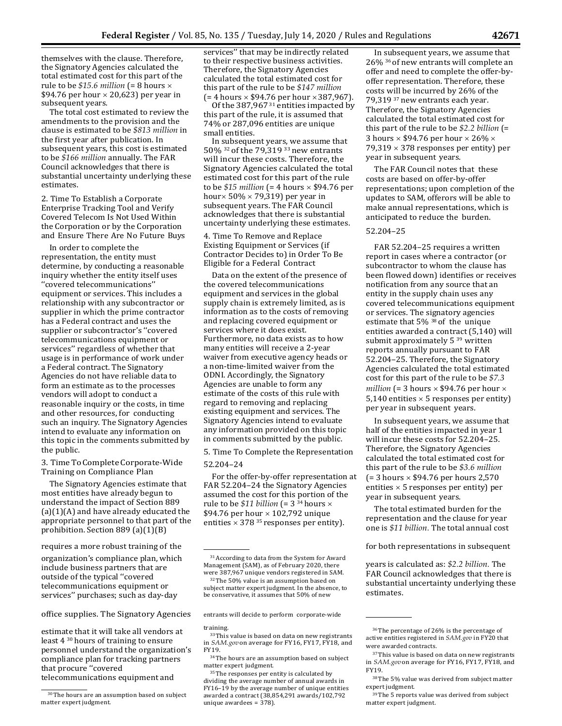themselves with the clause. Therefore, the Signatory Agencies calculated the total estimated cost for this part of the rule to be *\$15.6 million* (= 8 hours × \$94.76 per hour  $\times$  20,623) per year in subsequent years.

The total cost estimated to review the amendments to the provision and the clause is estimated to be *\$813 million* in the first year after publication. In subsequent years, this cost is estimated to be *\$166 million* annually. The FAR Council acknowledges that there is substantial uncertainty underlying these estimates.

2. Time To Establish a Corporate Enterprise Tracking Tool and Verify Covered Telecom Is Not Used Within the Corporation or by the Corporation and Ensure There Are No Future Buys

In order to complete the representation, the entity must determine, by conducting a reasonable inquiry whether the entity itself uses ''covered telecommunications'' equipment or services. This includes a relationship with any subcontractor or supplier in which the prime contractor has a Federal contract and uses the supplier or subcontractor's ''covered telecommunications equipment or services'' regardless of whether that usage is in performance of work under a Federal contract. The Signatory Agencies do not have reliable data to form an estimate as to the processes vendors will adopt to conduct a reasonable inquiry or the costs, in time and other resources, for conducting such an inquiry. The Signatory Agencies intend to evaluate any information on this topic in the comments submitted by the public.

3. TimeToCompleteCorporate-Wide Training on Compliance Plan

The Signatory Agencies estimate that most entities have already begun to understand the impact of Section 889  $(a)(1)(A)$  and have already educated the appropriate personnel to that part of the prohibition. Section 889 (a)(1)(B)

requires a more robust training of the form of the form of the form of both representations in subsequent

organization's compliance plan, which include business partners that are outside of the typical ''covered telecommunications equipment or services'' purchases; such as day-day

office supplies. The Signatory Agencies entrants will decide to perform corporate-wide

estimate that it will take all vendors at least 4 30 hours of training to ensure personnel understand the organization's compliance plan for tracking partners that procure ''covered telecommunications equipment and

services" that may be indirectly related to their respective business activities. Therefore, the Signatory Agencies calculated the total estimated cost for this part of the rule to be *\$147 million*   $(= 4 \text{ hours} \times $94.76 \text{ per hour} \times 387.967)$ .

Of the 387,967<sup>31</sup> entities impacted by this part of the rule, it is assumed that 74% or 287,096 entities are unique small entities.

In subsequent years, we assume that 50% 32 of the 79,319 33 new entrants will incur these costs. Therefore, the Signatory Agencies calculated the total estimated cost for this part of the rule to be *\$15 million* (= 4 hours × \$94.76 per hour $\times$  50%  $\times$  79,319) per year in subsequent years. The FAR Council acknowledges that there is substantial uncertainty underlying these estimates.

4. Time To Remove and Replace Existing Equipment or Services (if Contractor Decides to) in Order To Be Eligible for a Federal Contract

Data on the extent of the presence of the covered telecommunications equipment and services in the global supply chain is extremely limited, as is information as to the costs of removing and replacing covered equipment or services where it does exist. Furthermore, no data exists as to how many entities will receive a 2-year waiver from executive agency heads or a non-time-limited waiver from the ODNI. Accordingly, the Signatory Agencies are unable to form any estimate of the costs of this rule with regard to removing and replacing existing equipment and services. The Signatory Agencies intend to evaluate any information provided on this topic in comments submitted by the public.

5. Time To Complete the Representation 52.204–24

For the offer-by-offer representation at FAR 52.204–24 the Signatory Agencies assumed the cost for this portion of the rule to be \$11 *billion* (= 3<sup>34</sup> hours  $\times$ \$94.76 per hour  $\times$  102,792 unique entities  $\times$  378<sup>35</sup> responses per entity).

32 The 50% value is an assumption based on subject matter expert judgment. In the absence, to be conservative, it assumes that 50% of new

#### training.

<sup>35</sup> The responses per entity is calculated by dividing the average number of annual awards in FY16–19 by the average number of unique entities awarded a contract (38,854,291 awards/102,792 unique awardees = 378).

In subsequent years, we assume that 26% 36 of new entrants will complete an offer and need to complete the offer-byoffer representation. Therefore, these costs will be incurred by 26% of the 79,319 37 new entrants each year. Therefore, the Signatory Agencies calculated the total estimated cost for this part of the rule to be *\$2.2 billion* (= 3 hours  $\times$  \$94.76 per hour  $\times$  26%  $\times$ 79,319  $\times$  378 responses per entity) per year in subsequent years.

The FAR Council notes that these costs are based on offer-by-offer representations; upon completion of the updates to SAM, offerors will be able to make annual representations, which is anticipated to reduce the burden.

#### 52.204–25

FAR 52.204–25 requires a written report in cases where a contractor (or subcontractor to whom the clause has been flowed down) identifies or receives notification from any source that an entity in the supply chain uses any covered telecommunications equipment or services. The signatory agencies estimate that 5% 38 of the unique entities awarded a contract (5,140) will submit approximately  $5^{39}$  written reports annually pursuant to FAR 52.204–25. Therefore, the Signatory Agencies calculated the total estimated cost for this part of the rule to be *\$7.3 million* (= 3 hours  $\times$  \$94.76 per hour  $\times$ 5,140 entities  $\times$  5 responses per entity) per year in subsequent years.

In subsequent years, we assume that half of the entities impacted in year 1 will incur these costs for 52.204–25. Therefore, the Signatory Agencies calculated the total estimated cost for this part of the rule to be *\$3.6 million*  $(= 3 \text{ hours} \times $94.76 \text{ per hours } 2,570$ entities  $\times$  5 responses per entity) per year in subsequent years.

The total estimated burden for the representation and the clause for year one is *\$11 billion.* The total annual cost

years is calculated as: *\$2.2 billion.* The FAR Council acknowledges that there is substantial uncertainty underlying these estimates.

<sup>30</sup> The hours are an assumption based on subject matter expert judgment.

<sup>31</sup> According to data from the System for Award Management (SAM), as of February 2020, there were 387,967 unique vendors registered in SAM.

<sup>33</sup> This value is based on data on new registrants in *SAM.gov*on average for FY16, FY17, FY18, and FY19.

 $^\mathrm{34}$  The hours are an assumption based on subject matter expert judgment.

<sup>36</sup> The percentage of 26% is the percentage of active entities registered in *SAM.gov* in FY20 that were awarded contracts.

<sup>37</sup>This value is based on data on new registrants in *SAM.gov*on average for FY16, FY17, FY18, and FY19.

<sup>38</sup> The 5% value was derived from subject matter expert judgment.

<sup>39</sup> The 5 reports value was derived from subject matter expert judgment.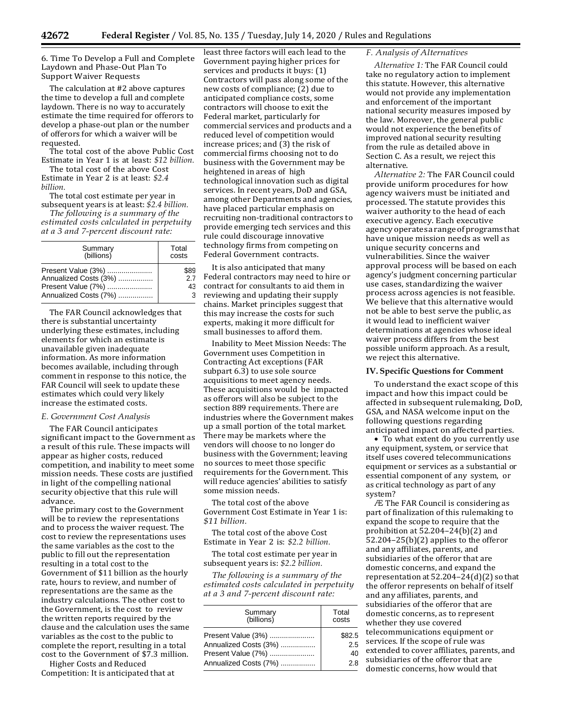6. Time To Develop a Full and Complete Laydown and Phase-Out Plan To Support Waiver Requests

The calculation at #2 above captures the time to develop a full and complete laydown. There is no way to accurately estimate the time required for offerors to develop a phase-out plan or the number of offerors for which a waiver will be requested.

The total cost of the above Public Cost Estimate in Year 1 is at least: *\$12 billion.*

The total cost of the above Cost Estimate in Year 2 is at least: *\$2.4 billion.*

The total cost estimate per year in subsequent years is at least: *\$2.4 billion.*

*The following is a summary of the estimated costs calculated in perpetuity at a 3 and 7-percent discount rate:*

| Summary               | Total |  |
|-----------------------|-------|--|
| (billions)            | costs |  |
| Present Value (3%)    | \$89  |  |
| Annualized Costs (3%) | 27    |  |
| Present Value (7%)    | 43    |  |
| Annualized Costs (7%) | 3     |  |

The FAR Council acknowledges that there is substantial uncertainty underlying these estimates, including elements for which an estimate is unavailable given inadequate information. As more information becomes available, including through comment in response to this notice, the FAR Council will seek to update these estimates which could very likely increase the estimated costs.

#### *E. Government Cost Analysis*

The FAR Council anticipates significant impact to the Government as a result of this rule. These impacts will appear as higher costs, reduced competition, and inability to meet some mission needs. These costs are justified in light of the compelling national security objective that this rule will advance.

The primary cost to the Government will be to review the representations and to process the waiver request. The cost to review the representations uses the same variables as the cost to the public to fill out the representation resulting in a total cost to the Government of \$11 billion as the hourly rate, hours to review, and number of representations are the same as the industry calculations. The other cost to the Government, is the cost to review the written reports required by the clause and the calculation uses the same variables as the cost to the public to complete the report, resulting in a total cost to the Government of \$7.3 million.

Higher Costs and Reduced Competition: It is anticipated that at

least three factors will each lead to the Government paying higher prices for services and products it buys: (1) Contractors will pass along some of the new costs of compliance; (2) due to anticipated compliance costs, some contractors will choose to exit the Federal market, particularly for commercial services and products and a reduced level of competition would increase prices; and (3) the risk of commercial firms choosing not to do business with the Government may be heightened in areas of high technological innovation such as digital services. In recent years, DoD and GSA, among other Departments and agencies, have placed particular emphasis on recruiting non-traditional contractors to provide emerging tech services and this rule could discourage innovative technology firms from competing on Federal Government contracts.

It is also anticipated that many Federal contractors may need to hire or contract for consultants to aid them in reviewing and updating their supply chains. Market principles suggest that this may increase the costs for such experts, making it more difficult for small businesses to afford them.

Inability to Meet Mission Needs: The Government uses Competition in Contracting Act exceptions (FAR subpart 6.3) to use sole source acquisitions to meet agency needs. These acquisitions would be impacted as offerors will also be subject to the section 889 requirements. There are industries where the Government makes up a small portion of the total market. There may be markets where the vendors will choose to no longer do business with the Government; leaving no sources to meet those specific requirements for the Government. This will reduce agencies' abilities to satisfy some mission needs.

The total cost of the above Government Cost Estimate in Year 1 is: *\$11 billion.*

The total cost of the above Cost Estimate in Year 2 is: *\$2.2 billion.*

The total cost estimate per year in subsequent years is: *\$2.2 billion.*

*The following is a summary of the estimated costs calculated in perpetuity at a 3 and 7-percent discount rate:*

| Summary<br>(billions) | Total<br>costs |  |
|-----------------------|----------------|--|
| Present Value (3%)    | \$82.5         |  |
| Annualized Costs (3%) | 2.5            |  |
| Present Value (7%)    | 40             |  |
| Annualized Costs (7%) | 2 R            |  |

### *F. Analysis of Alternatives*

*Alternative 1:* The FAR Council could take no regulatory action to implement this statute. However, this alternative would not provide any implementation and enforcement of the important national security measures imposed by the law. Moreover, the general public would not experience the benefits of improved national security resulting from the rule as detailed above in Section C. As a result, we reject this alternative.

*Alternative 2:* The FAR Council could provide uniform procedures for how agency waivers must be initiated and processed. The statute provides this waiver authority to the head of each executive agency. Each executive agencyoperatesarangeofprogramsthat have unique mission needs as well as unique security concerns and vulnerabilities. Since the waiver approval process will be based on each agency's judgment concerning particular use cases, standardizing the waiver process across agencies is not feasible. We believe that this alternative would not be able to best serve the public, as it would lead to inefficient waiver determinations at agencies whose ideal waiver process differs from the best possible uniform approach. As a result, we reject this alternative.

# **IV. Specific Questions for Comment**

To understand the exact scope of this impact and how this impact could be affected in subsequent rulemaking, DoD, GSA, and NASA welcome input on the following questions regarding anticipated impact on affected parties.

• To what extent do you currently use any equipment, system, or service that itself uses covered telecommunications equipment or services as a substantial or essential component of any system, or as critical technology as part of any system?

Æ The FAR Council is considering as part of finalization of this rulemaking to expand the scope to require that the prohibition at 52.204–24(b)(2) and  $52.204 - 25(b)(2)$  applies to the offeror and any affiliates, parents, and subsidiaries of the offeror that are domestic concerns, and expand the representation at 52.204–24(d)(2) so that the offeror represents on behalf of itself and any affiliates, parents, and subsidiaries of the offeror that are domestic concerns, as to represent whether they use covered telecommunications equipment or services. If the scope of rule was extended to cover affiliates, parents, and subsidiaries of the offeror that are domestic concerns, how would that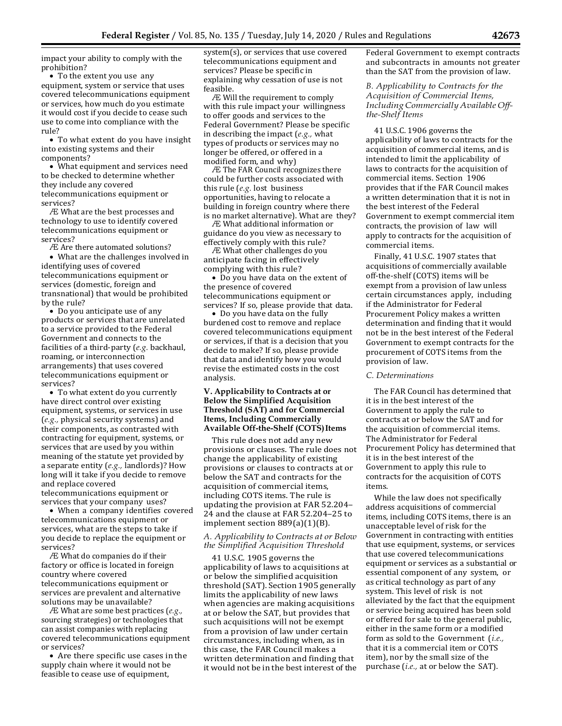impact your ability to comply with the prohibition?

• To the extent you use any equipment, system or service that uses covered telecommunications equipment or services, how much do you estimate it would cost if you decide to cease such use to come into compliance with the rule?

• To what extent do you have insight into existing systems and their components?

• What equipment and services need to be checked to determine whether they include any covered telecommunications equipment or services?

Æ What are the best processes and technology to use to identify covered telecommunications equipment or services?

Æ Are there automated solutions?

• What are the challenges involved in identifying uses of covered telecommunications equipment or services (domestic, foreign and transnational) that would be prohibited by the rule?

• Do you anticipate use of any products or services that are unrelated to a service provided to the Federal Government and connects to the facilities of a third-party (*e.g.* backhaul, roaming, or interconnection arrangements) that uses covered telecommunications equipment or services?

• To what extent do you currently have direct control over existing equipment, systems, or services in use (*e.g.,* physical security systems) and their components, as contrasted with contracting for equipment, systems, or services that are used by you within meaning of the statute yet provided by a separate entity (*e.g.,* landlords)? How long will it take if you decide to remove and replace covered telecommunications equipment or

services that your company uses? • When a company identifies covered telecommunications equipment or services, what are the steps to take if you decide to replace the equipment or services?

Æ What do companies do if their factory or office is located in foreign country where covered telecommunications equipment or services are prevalent and alternative solutions may be unavailable?

Æ What are some best practices (*e.g.,*  sourcing strategies) or technologies that can assist companies with replacing covered telecommunications equipment or services?

• Are there specific use cases in the supply chain where it would not be feasible to cease use of equipment,

system(s), or services that use covered telecommunications equipment and services? Please be specific in explaining why cessation of use is not feasible.

Æ Will the requirement to comply with this rule impact your willingness to offer goods and services to the Federal Government? Please be specific in describing the impact (*e.g.,* what types of products or services may no longer be offered, or offered in a modified form, and why)

Æ The FAR Council recognizes there could be further costs associated with this rule (*e.g.* lost business opportunities, having to relocate a building in foreign country where there is no market alternative). What are they?

Æ What additional information or guidance do you view as necessary to effectively comply with this rule?

Æ What other challenges do you anticipate facing in effectively complying with this rule?

• Do you have data on the extent of the presence of covered telecommunications equipment or services? If so, please provide that data.

• Do you have data on the fully burdened cost to remove and replace covered telecommunications equipment or services, if that is a decision that you decide to make? If so, please provide that data and identify how you would revise the estimated costs in the cost analysis.

# **V. Applicability to Contracts at or Below the Simplified Acquisition Threshold (SAT) and for Commercial Items, Including Commercially Available Off-the-Shelf (COTS)Items**

This rule does not add any new provisions or clauses. The rule does not change the applicability of existing provisions or clauses to contracts at or below the SAT and contracts for the acquisition of commercial items, including COTS items. The rule is updating the provision at FAR 52.204– 24 and the clause at FAR 52.204–25 to implement section 889(a)(1)(B).

### *A. Applicability to Contracts at or Below the Simplified Acquisition Threshold*

41 U.S.C. 1905 governs the applicability of laws to acquisitions at or below the simplified acquisition threshold (SAT). Section 1905 generally limits the applicability of new laws when agencies are making acquisitions at or below the SAT, but provides that such acquisitions will not be exempt from a provision of law under certain circumstances, including when, as in this case, the FAR Council makes a written determination and finding that it would not be in the best interest of the

Federal Government to exempt contracts and subcontracts in amounts not greater than the SAT from the provision of law.

*B. Applicability to Contracts for the Acquisition of Commercial Items, IncludingCommercially Available Offthe-Shelf Items*

41 U.S.C. 1906 governs the applicability of laws to contracts for the acquisition of commercial items, and is intended to limit the applicability of laws to contracts for the acquisition of commercial items. Section 1906 provides that if the FAR Council makes a written determination that it is not in the best interest of the Federal Government to exempt commercial item contracts, the provision of law will apply to contracts for the acquisition of commercial items.

Finally, 41 U.S.C. 1907 states that acquisitions of commercially available off-the-shelf (COTS) items will be exempt from a provision of law unless certain circumstances apply, including if the Administrator for Federal Procurement Policy makes a written determination and finding that it would not be in the best interest of the Federal Government to exempt contracts for the procurement of COTS items from the provision of law.

#### *C. Determinations*

The FAR Council has determined that it is in the best interest of the Government to apply the rule to contracts at or below the SAT and for the acquisition of commercial items. The Administrator for Federal Procurement Policy has determined that it is in the best interest of the Government to apply this rule to contracts for the acquisition of COTS items.

While the law does not specifically address acquisitions of commercial items, including COTS items, there is an unacceptable level of risk for the Government in contracting with entities that use equipment, systems, or services that use covered telecommunications equipment or services as a substantial or essential component of any system, or as critical technology as part of any system. This level of risk is not alleviated by the fact that the equipment or service being acquired has been sold or offered for sale to the general public, either in the same form or a modified form as sold to the Government (*i.e.,*  that it is a commercial item or COTS item), nor by the small size of the purchase (*i.e.,* at or below the SAT).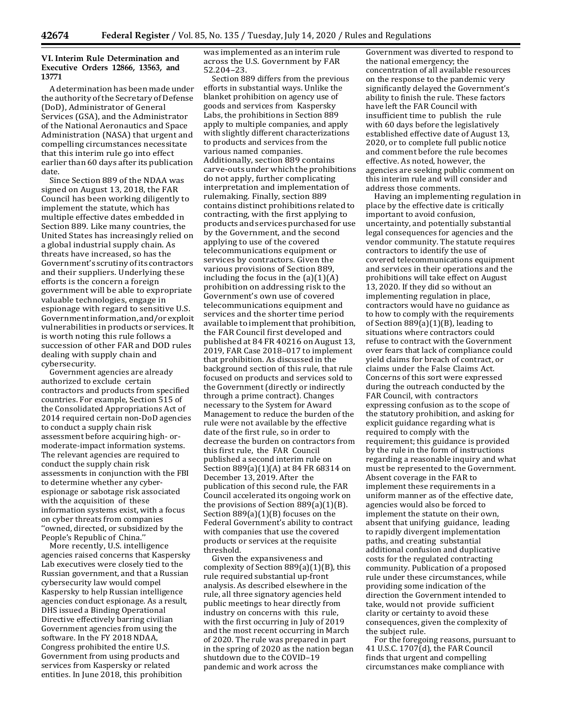**VI. Interim Rule Determination and Executive Orders 12866, 13563, and 13771**

A determination has been made under the authority of the Secretary of Defense (DoD), Administrator of General Services (GSA), and the Administrator of the National Aeronautics and Space Administration (NASA) that urgent and compelling circumstances necessitate that this interim rule go into effect earlier than 60 days after its publication date.

Since Section 889 of the NDAA was signed on August 13, 2018, the FAR Council has been working diligently to implement the statute, which has multiple effective dates embedded in Section 889. Like many countries, the United States has increasingly relied on a global industrial supply chain. As threats have increased, so has the Government's scrutiny ofits contractors and their suppliers. Underlying these efforts is the concern a foreign government will be able to expropriate valuable technologies, engage in espionage with regard to sensitive U.S. Governmentinformation,and/orexploit vulnerabilities in products or services. It is worth noting this rule follows a succession of other FAR and DOD rules dealing with supply chain and cybersecurity.

Government agencies are already authorized to exclude certain contractors and products from specified countries. For example, Section 515 of the Consolidated Appropriations Act of 2014 required certain non-DoD agencies to conduct a supply chain risk assessment before acquiring high- ormoderate-impact information systems. The relevant agencies are required to conduct the supply chain risk assessments in conjunction with the FBI to determine whether any cyberespionage or sabotage risk associated with the acquisition of these information systems exist, with a focus on cyber threats from companies ''owned, directed, or subsidized by the People's Republic of China.''

More recently, U.S. intelligence agencies raised concerns that Kaspersky Lab executives were closely tied to the Russian government, and that a Russian cybersecurity law would compel Kaspersky to help Russian intelligence agencies conduct espionage. As a result, DHS issued a Binding Operational Directive effectively barring civilian Government agencies from using the software. In the FY 2018 NDAA, Congress prohibited the entire U.S. Government from using products and services from Kaspersky or related entities. In June 2018, this prohibition

was implemented as an interim rule across the U.S. Government by FAR 52.204–23.

Section 889 differs from the previous efforts in substantial ways. Unlike the blanket prohibition on agency use of goods and services from Kaspersky Labs, the prohibitions in Section 889 apply to multiple companies, and apply with slightly different characterizations to products and services from the various named companies. Additionally, section 889 contains carve-outs under which the prohibitions do not apply, further complicating interpretation and implementation of rulemaking. Finally, section 889 contains distinct prohibitions related to contracting, with the first applying to products and services purchased for use by the Government, and the second applying to use of the covered telecommunications equipment or services by contractors. Given the various provisions of Section 889, including the focus in the  $(a)(1)(A)$ prohibition on addressing risk to the Government's own use of covered telecommunications equipment and services and the shorter time period available to implement that prohibition, the FAR Council first developed and published at 84 FR 40216 on August 13, 2019, FAR Case 2018–017 to implement that prohibition. As discussed in the background section of this rule, that rule focused on products and services sold to the Government (directly or indirectly through a prime contract). Changes necessary to the System for Award Management to reduce the burden of the rule were not available by the effective date of the first rule, so in order to decrease the burden on contractors from this first rule, the FAR Council published a second interim rule on Section 889(a)(1)(A) at 84 FR 68314 on December 13, 2019. After the publication of this second rule, the FAR Council accelerated its ongoing work on the provisions of Section 889(a)(1)(B). Section  $889(a)(1)(B)$  focuses on the Federal Government's ability to contract with companies that use the covered products or services at the requisite threshold.

Given the expansiveness and complexity of Section 889(a)(1)(B), this rule required substantial up-front analysis. As described elsewhere in the rule, all three signatory agencies held public meetings to hear directly from industry on concerns with this rule, with the first occurring in July of 2019 and the most recent occurring in March of 2020. The rule was prepared in part in the spring of 2020 as the nation began shutdown due to the COVID–19 pandemic and work across the

Government was diverted to respond to the national emergency; the concentration of all available resources on the response to the pandemic very significantly delayed the Government's ability to finish the rule. These factors have left the FAR Council with insufficient time to publish the rule with 60 days before the legislatively established effective date of August 13, 2020, or to complete full public notice and comment before the rule becomes effective. As noted, however, the agencies are seeking public comment on this interim rule and will consider and address those comments.

Having an implementing regulation in place by the effective date is critically important to avoid confusion, uncertainty, and potentially substantial legal consequences for agencies and the vendor community. The statute requires contractors to identify the use of covered telecommunications equipment and services in their operations and the prohibitions will take effect on August 13, 2020. If they did so without an implementing regulation in place, contractors would have no guidance as to how to comply with the requirements of Section 889(a)(1)(B), leading to situations where contractors could refuse to contract with the Government over fears that lack of compliance could yield claims for breach of contract, or claims under the False Claims Act. Concerns of this sort were expressed during the outreach conducted by the FAR Council, with contractors expressing confusion as to the scope of the statutory prohibition, and asking for explicit guidance regarding what is required to comply with the requirement; this guidance is provided by the rule in the form of instructions regarding a reasonable inquiry and what must be represented to the Government. Absent coverage in the FAR to implement these requirements in a uniform manner as of the effective date, agencies would also be forced to implement the statute on their own, absent that unifying guidance, leading to rapidly divergent implementation paths, and creating substantial additional confusion and duplicative costs for the regulated contracting community. Publication of a proposed rule under these circumstances, while providing some indication of the direction the Government intended to take, would not provide sufficient clarity or certainty to avoid these consequences, given the complexity of the subject rule.

For the foregoing reasons, pursuant to 41 U.S.C. 1707(d), the FAR Council finds that urgent and compelling circumstances make compliance with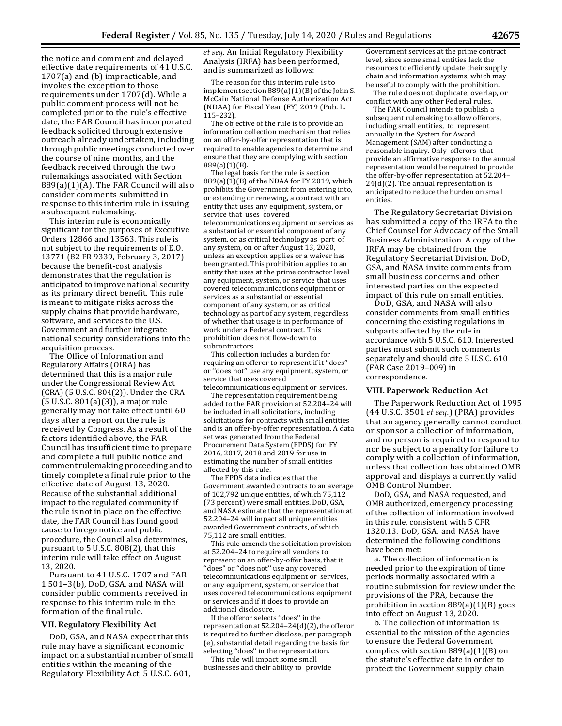the notice and comment and delayed effective date requirements of 41 U.S.C. 1707(a) and (b) impracticable, and invokes the exception to those requirements under 1707(d). While a public comment process will not be completed prior to the rule's effective date, the FAR Council has incorporated feedback solicited through extensive outreach already undertaken, including through public meetings conducted over the course of nine months, and the feedback received through the two rulemakings associated with Section 889(a)(1)(A). The FAR Council will also consider comments submitted in response to this interim rule in issuing a subsequent rulemaking.

This interim rule is economically significant for the purposes of Executive Orders 12866 and 13563. This rule is not subject to the requirements of E.O. 13771 (82 FR 9339, February 3, 2017) because the benefit-cost analysis demonstrates that the regulation is anticipated to improve national security as its primary direct benefit. This rule is meant to mitigate risks across the supply chains that provide hardware, software, and services to the U.S. Government and further integrate national security considerations into the acquisition process.

The Office of Information and Regulatory Affairs (OIRA) has determined that this is a major rule under the Congressional Review Act (CRA) (5 U.S.C. 804(2)). Under the CRA (5 U.S.C. 801(a)(3)), a major rule generally may not take effect until 60 days after a report on the rule is received by Congress. As a result of the factors identified above, the FAR Council has insufficient time to prepare and complete a full public notice and comment rulemakingproceedingandto timely complete a final rule prior to the effective date of August 13, 2020. Because of the substantial additional impact to the regulated community if the rule is not in place on the effective date, the FAR Council has found good cause to forego notice and public procedure, the Council also determines, pursuant to 5 U.S.C. 808(2), that this interim rule will take effect on August 13, 2020.

Pursuant to 41 U.S.C. 1707 and FAR 1.501–3(b), DoD, GSA, and NASA will consider public comments received in response to this interim rule in the formation of the final rule.

#### **VII. Regulatory Flexibility Act**

DoD, GSA, and NASA expect that this rule may have a significant economic impact on a substantial number of small entities within the meaning of the Regulatory Flexibility Act, 5 U.S.C. 601,

*et seq.* An Initial Regulatory Flexibility Analysis (IRFA) has been performed, and is summarized as follows:

The reason for this interim rule is to implement section 889(a)(1)(B) of the John S. McCain National Defense Authorization Act (NDAA) for Fiscal Year (FY) 2019 (Pub. L. 115–232).

The objective of the rule is to provide an information collection mechanism that relies on an offer-by-offer representation that is required to enable agencies to determine and ensure that they are complying with section 889(a)(1)(B).

The legal basis for the rule is section  $889(a)(1)(B)$  of the NDAA for FY 2019, which prohibits the Government from entering into, or extending or renewing, a contract with an entity that uses any equipment, system, or service that uses covered telecommunications equipment or services as a substantial or essential component of any system, or as critical technology as part of any system, on or after August 13, 2020, unless an exception applies or a waiver has been granted. This prohibition applies to an entity that uses at the prime contractor level any equipment, system, or service that uses covered telecommunications equipment or services as a substantial or essential component of any system, or as critical technology as part of any system, regardless of whether that usage is in performance of work under a Federal contract. This prohibition does not flow-down to subcontractors.

This collection includes a burden for requiring an offeror to represent if it ''does'' or ''does not'' use any equipment, system, or service that uses covered telecommunications equipment or services.

The representation requirement being added to the FAR provision at 52.204–24 will be included in all solicitations, including solicitations for contracts with small entities and is an offer-by-offer representation. A data set was generated from the Federal Procurement Data System (FPDS) for FY 2016, 2017, 2018 and 2019 for use in estimating the number of small entities affected by this rule.

The FPDS data indicates that the Government awarded contracts to an average of 102,792 unique entities, of which 75,112 (73 percent) were small entities. DoD, GSA, and NASA estimate that the representation at 52.204–24 will impact all unique entities awarded Government contracts, of which 75,112 are small entities.

This rule amends the solicitation provision at 52.204–24 to require all vendors to represent on an offer-by-offer basis, that it "does" or "does not" use any covered telecommunications equipment or services, or any equipment, system, or service that uses covered telecommunications equipment or services and if it does to provide an additional disclosure.

If the offeror selects ''does'' in the representation at  $52.204 - 24(d)(2)$ , the offeror is required to further disclose, per paragraph (e), substantial detail regarding the basis for selecting ''does'' in the representation.

This rule will impact some small businesses and their ability to provide Government services at the prime contract level, since some small entities lack the resources to efficiently update their supply chain and information systems, which may be useful to comply with the prohibition.

The rule does not duplicate, overlap, or conflict with any other Federal rules.

The FAR Council intends to publish a subsequent rulemaking to allow offerors, including small entities, to represent annually in the System for Award Management (SAM) after conducting a reasonable inquiry. Only offerors that provide an affirmative response to the annual representation would be required to provide the offer-by-offer representation at 52.204–  $24(d)(2)$ . The annual representation is anticipated to reduce the burden on small entities.

The Regulatory Secretariat Division has submitted a copy of the IRFA to the Chief Counsel for Advocacy of the Small Business Administration. A copy of the IRFA may be obtained from the Regulatory Secretariat Division. DoD, GSA, and NASA invite comments from small business concerns and other interested parties on the expected impact of this rule on small entities.

DoD, GSA, and NASA will also consider comments from small entities concerning the existing regulations in subparts affected by the rule in accordance with 5 U.S.C. 610. Interested parties must submit such comments separately and should cite 5 U.S.C. 610 (FAR Case 2019–009) in correspondence.

#### **VIII. Paperwork Reduction Act**

The Paperwork Reduction Act of 1995 (44 U.S.C. 3501 *et seq.*) (PRA) provides that an agency generally cannot conduct or sponsor a collection of information, and no person is required to respond to nor be subject to a penalty for failure to comply with a collection of information, unless that collection has obtained OMB approval and displays a currently valid OMB Control Number.

DoD, GSA, and NASA requested, and OMB authorized, emergency processing of the collection of information involved in this rule, consistent with 5 CFR 1320.13. DoD, GSA, and NASA have determined the following conditions have been met:

a. The collection of information is needed prior to the expiration of time periods normally associated with a routine submission for review under the provisions of the PRA, because the prohibition in section 889(a)(1)(B) goes into effect on August 13, 2020.

b. The collection of information is essential to the mission of the agencies to ensure the Federal Government complies with section 889(a)(1)(B) on the statute's effective date in order to protect the Government supply chain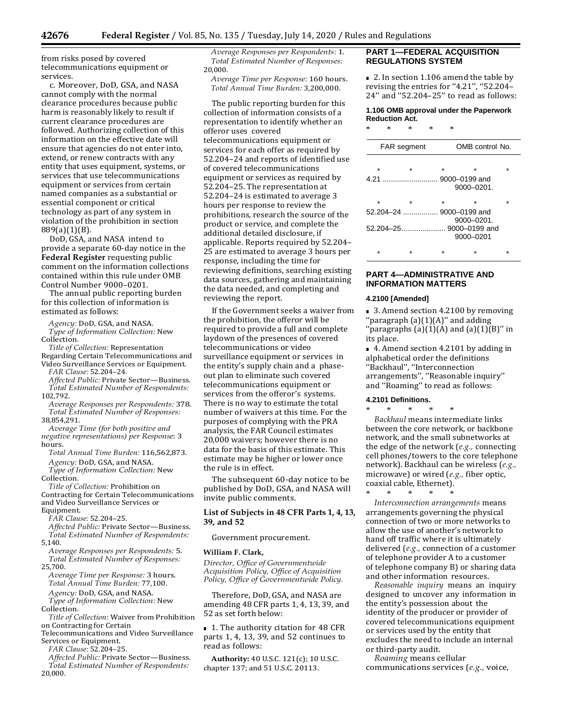from risks posed by covered telecommunications equipment or services.

c. Moreover, DoD, GSA, and NASA cannot comply with the normal clearance procedures because public harm is reasonably likely to result if current clearance procedures are followed. Authorizing collection of this information on the effective date will ensure that agencies do not enter into, extend, or renew contracts with any entity that uses equipment, systems, or services that use telecommunications equipment or services from certain named companies as a substantial or essential component or critical technology as part of any system in violation of the prohibition in section 889(a)(1)(B).

DoD, GSA, and NASA intend to provide a separate 60-day notice in the **Federal Register** requesting public comment on the information collections contained within this rule under OMB Control Number 9000–0201.

The annual public reporting burden for this collection of information is estimated as follows:

*Agency:* DoD, GSA, and NASA. *Type of Information Collection:* New Collection.

*Title of Collection:* Representation Regarding Certain Telecommunications and Video Surveillance Services or Equipment.

*FAR Clause:* 52.204–24. *Affected Public:* Private Sector—Business. *Total Estimated Number of Respondents:* 102,792.

*Average Responses per Respondents:* 378. *Total Estimated Number of Responses:* 38,854,291.

*Average Time (for both positive and negative representations) per Response*: 3 hours.

*Total Annual Time Burden:* 116,562,873. *Agency:* DoD, GSA, and NASA.

*Type of Information Collection:* New

Collection.

*Title of Collection:* Prohibition on Contracting for Certain Telecommunications and Video Surveillance Services or Equipment.

*FAR Clause:* 52.204–25.

*Affected Public:* Private Sector—Business. *Total Estimated Number of Respondents:* 5,140.

*Average Responses per Respondents:* 5. *Total Estimated Number of Responses:* 25,700.

*Average Time per Response:* 3 hours. *Total Annual Time Burden:* 77,100. *Agency:* DoD, GSA, and NASA.

*Type of Information Collection:* New

Collection.

*Title of Collection:* Waiver from Prohibition on Contracting for Certain

Telecommunications and Video Surveillance Services or Equipment.

*FAR Clause:* 52.204–25.

*Affected Public:* Private Sector—Business. *Total Estimated Number of Respondents:* 20,000.

*Average Responses per Respondents:* 1. *Total Estimated Number of Responses:* 20,000.

*Average Time per Response:* 160 hours. *Total Annual Time Burden:* 3,200,000.

The public reporting burden for this collection of information consists of a representation to identify whether an offeror uses covered telecommunications equipment or services for each offer as required by 52.204–24 and reports of identified use of covered telecommunications equipment or services as required by 52.204–25. The representation at 52.204–24 is estimated to average 3 hours per response to review the prohibitions, research the source of the product or service, and complete the additional detailed disclosure, if applicable. Reports required by 52.204– 25 are estimated to average 3 hours per response, including the time for reviewing definitions, searching existing data sources, gathering and maintaining the data needed, and completing and reviewing the report.

If the Government seeks a waiver from the prohibition, the offeror will be required to provide a full and complete laydown of the presences of covered telecommunications or video surveillance equipment or services in the entity's supply chain and a phaseout plan to eliminate such covered telecommunications equipment or services from the offeror's systems. There is no way to estimate the total number of waivers at this time. For the purposes of complying with the PRA analysis, the FAR Council estimates 20,000 waivers; however there is no data for the basis of this estimate. This estimate may be higher or lower once the rule is in effect.

The subsequent 60-day notice to be published by DoD, GSA, and NASA will invite public comments.

# **List of Subjects in 48 CFR Parts 1, 4, 13, 39, and 52**

Government procurement.

#### **William F. Clark,**

*Director, Office of Governmentwide Acquisition Policy, Office of Acquisition Policy, Office of Governmentwide Policy.*

Therefore, DoD, GSA, and NASA are amending 48 CFR parts 1, 4, 13, 39, and 52 as set forth below:

■ 1. The authority citation for 48 CFR parts 1, 4, 13, 39, and 52 continues to read as follows:

**Authority:** 40 U.S.C. 121(c); 10 U.S.C. chapter 137; and 51 U.S.C. 20113.

# **PART 1—FEDERAL ACQUISITION REGULATIONS SYSTEM**

■ 2. In section 1.106 amend the table by revising the entries for ''4.21'', ''52.204– 24'' and ''52.204–25'' to read as follows:

#### **1.106 OMB approval under the Paperwork Reduction Act.**

\* \* \* \* \*

| FAR segment |         | OMB control No. |            |  |
|-------------|---------|-----------------|------------|--|
|             |         |                 |            |  |
| $\star$     | $\star$ | $\star$         | ÷          |  |
|             |         |                 |            |  |
|             |         |                 | 9000-0201. |  |
| ÷           | $\star$ | $\star$         | ÷          |  |
|             |         |                 |            |  |
| 9000-0201.  |         |                 |            |  |
|             |         |                 |            |  |
|             |         |                 | 9000-0201  |  |
|             |         |                 |            |  |

# **PART 4—ADMINISTRATIVE AND INFORMATION MATTERS**

#### **4.2100 [Amended]**

■ 3. Amend section 4.2100 by removing "paragraph  $(a)(1)(A)$ " and adding 'paragraphs  $(a)(1)(A)$  and  $(a)(1)(B)$ " in its place.

■ 4. Amend section 4.2101 by adding in alphabetical order the definitions ''Backhaul'', ''Interconnection arrangements'', ''Reasonable inquiry'' and ''Roaming'' to read as follows:

### **4.2101 Definitions.**

\* \* \* \* \* *Backhaul* means intermediate links between the core network, or backbone network, and the small subnetworks at the edge of the network (*e.g.,* connecting cell phones/towers to the core telephone network). Backhaul can be wireless (*e.g.,*  microwave) or wired (*e.g.,* fiber optic, coaxial cable, Ethernet).

\* \* \* \* \* *Interconnection arrangements* means arrangements governing the physical connection of two or more networks to allow the use of another's network to hand off traffic where it is ultimately delivered (*e.g.,* connection of a customer of telephone provider A to a customer of telephone company B) or sharing data and other information resources.

*Reasonable inquiry* means an inquiry designed to uncover any information in the entity's possession about the identity of the producer or provider of covered telecommunications equipment or services used by the entity that excludes the need to include an internal or third-party audit.

*Roaming* means cellular communications services (*e.g.,* voice,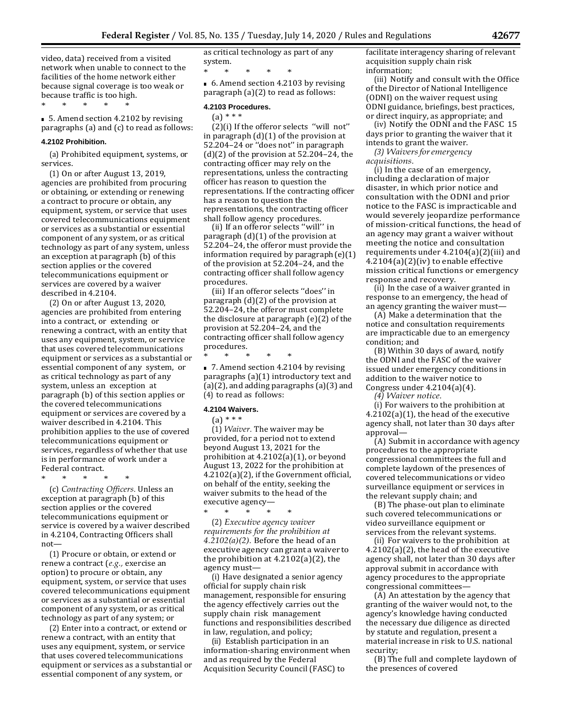video, data) received from a visited network when unable to connect to the facilities of the home network either because signal coverage is too weak or because traffic is too high. \* \* \* \* \*

■ 5. Amend section 4.2102 by revising paragraphs (a) and (c) to read as follows:

#### **4.2102 Prohibition.**

(a) Prohibited equipment, systems, or services.

(1) On or after August 13, 2019, agencies are prohibited from procuring or obtaining, or extending or renewing a contract to procure or obtain, any equipment, system, or service that uses covered telecommunications equipment or services as a substantial or essential component of any system, or as critical technology as part of any system, unless an exception at paragraph (b) of this section applies or the covered telecommunications equipment or services are covered by a waiver described in 4.2104.

(2) On or after August 13, 2020, agencies are prohibited from entering into a contract, or extending or renewing a contract, with an entity that uses any equipment, system, or service that uses covered telecommunications equipment or services as a substantial or essential component of any system, or as critical technology as part of any system, unless an exception at paragraph (b) of this section applies or the covered telecommunications equipment or services are covered by a waiver described in 4.2104. This prohibition applies to the use of covered telecommunications equipment or services, regardless of whether that use is in performance of work under a Federal contract.

\* \* \* \* \*

(c) *Contracting Officers.* Unless an exception at paragraph (b) of this section applies or the covered telecommunications equipment or service is covered by a waiver described in 4.2104, Contracting Officers shall not—

(1) Procure or obtain, or extend or renew a contract (*e.g.,* exercise an option) to procure or obtain, any equipment, system, or service that uses covered telecommunications equipment or services as a substantial or essential component of any system, or as critical technology as part of any system; or

(2) Enter into a contract, or extend or renew a contract, with an entity that uses any equipment, system, or service that uses covered telecommunications equipment or services as a substantial or essential component of any system, or

as critical technology as part of any system.

\* \* \* \* \* ■ 6. Amend section 4.2103 by revising paragraph (a)(2) to read as follows:

# **4.2103 Procedures.**

(a) \* \* \* (2)(i) If the offeror selects ''will not'' in paragraph  $(d)(1)$  of the provision at 52.204–24 or ''does not'' in paragraph  $(d)(2)$  of the provision at 52.204–24, the contracting officer may rely on the representations, unless the contracting officer has reason to question the representations. If the contracting officer has a reason to question the representations, the contracting officer shall follow agency procedures.

(ii) If an offeror selects ''will'' in paragraph (d)(1) of the provision at 52.204–24, the offeror must provide the information required by paragraph(e)(1) of the provision at 52.204–24, and the contracting officer shall follow agency procedures.

(iii) If an offeror selects ''does'' in paragraph (d)(2) of the provision at 52.204–24, the offeror must complete the disclosure at paragraph (e)(2) of the provision at 52.204–24, and the contracting officer shall follow agency procedures.

\* \* \* \* \* ■ 7. Amend section 4.2104 by revising paragraphs (a)(1) introductory text and (a)(2), and adding paragraphs (a)(3) and (4) to read as follows:

### **4.2104 Waivers.**

 $(a) * * * *$ 

(1) *Waiver.* The waiver may be provided, for a period not to extend beyond August 13, 2021 for the prohibition at 4.2102(a)(1), or beyond August 13, 2022 for the prohibition at 4.2102(a)(2), if the Government official, on behalf of the entity, seeking the waiver submits to the head of the executive agency— $*$ 

\* \* \* \* \* (2) *Executive agency waiver requirements for the prohibition at 4.2102(a)(2).* Before the head of an executive agency can grant a waiver to the prohibition at 4.2102(a)(2), the agency must—

(i) Have designated a senior agency official for supply chain risk management, responsible for ensuring the agency effectively carries out the supply chain risk management functions and responsibilities described in law, regulation, and policy;

(ii) Establish participation in an information-sharing environment when and as required by the Federal Acquisition Security Council (FASC) to

facilitate interagency sharing of relevant acquisition supply chain risk information;

(iii) Notify and consult with the Office of the Director of National Intelligence (ODNI) on the waiver request using ODNI guidance, briefings, best practices, or direct inquiry, as appropriate; and

(iv) Notify the ODNI and the FASC 15 days prior to granting the waiver that it intends to grant the waiver.

*(3) Waiversforemergency acquisitions.*

(i) In the case of an emergency, including a declaration of major disaster, in which prior notice and consultation with the ODNI and prior notice to the FASC is impracticable and would severely jeopardize performance of mission-critical functions, the head of an agency may grant a waiver without meeting the notice and consultation requirements under 4.2104(a)(2)(iii) and 4.2104(a)(2)(iv) to enable effective mission critical functions or emergency response and recovery.

(ii) In the case of a waiver granted in response to an emergency, the head of an agency granting the waiver must—

(A) Make a determination that the notice and consultation requirements are impracticable due to an emergency condition; and

(B) Within 30 days of award, notify the ODNI and the FASC of the waiver issued under emergency conditions in addition to the waiver notice to Congress under 4.2104(a)(4).

*(4) Waiver notice.*

(i) For waivers to the prohibition at 4.2102(a)(1), the head of the executive agency shall, not later than 30 days after approval—

(A) Submit in accordance with agency procedures to the appropriate congressional committees the full and complete laydown of the presences of covered telecommunications or video surveillance equipment or services in the relevant supply chain; and

(B) The phase-out plan to eliminate such covered telecommunications or video surveillance equipment or services from the relevant systems.

(ii) For waivers to the prohibition at 4.2102(a)(2), the head of the executive agency shall, not later than 30 days after approval submit in accordance with agency procedures to the appropriate congressional committees—

(A) An attestation by the agency that granting of the waiver would not, to the agency's knowledge having conducted the necessary due diligence as directed by statute and regulation, present a material increase in risk to U.S. national security;

(B) The full and complete laydown of the presences of covered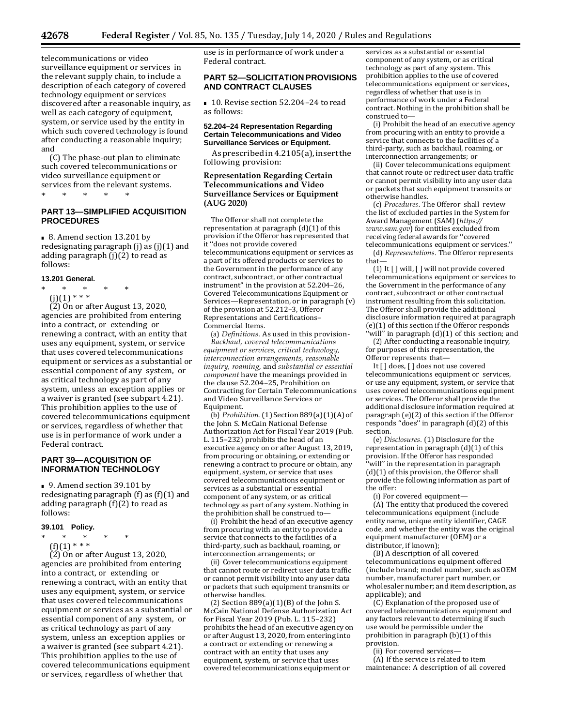telecommunications or video surveillance equipment or services in the relevant supply chain, to include a description of each category of covered technology equipment or services discovered after a reasonable inquiry, as well as each category of equipment, system, or service used by the entity in which such covered technology is found after conducting a reasonable inquiry; and

(C) The phase-out plan to eliminate such covered telecommunications or video surveillance equipment or services from the relevant systems.<br>\* \* \* \* \* \* \* \* \* \* \* \*

# **PART 13—SIMPLIFIED ACQUISITION PROCEDURES**

■ 8. Amend section 13.201 by redesignating paragraph (j) as (j)(1) and adding paragraph (j)(2) to read as follows:

#### **13.201 General.**

\* \* \* \* \*<br>COCAN+++  $\lim_{x \to 0} (1)$  \* \* \* (2) On or after August 13, 2020, agencies are prohibited from entering into a contract, or extending or renewing a contract, with an entity that uses any equipment, system, or service that uses covered telecommunications equipment or services as a substantial or essential component of any system, or as critical technology as part of any system, unless an exception applies or a waiver is granted (see subpart 4.21). This prohibition applies to the use of covered telecommunications equipment or services, regardless of whether that use is in performance of work under a Federal contract.

# **PART 39—ACQUISITION OF INFORMATION TECHNOLOGY**

■ 9. Amend section 39.101 by redesignating paragraph  $(f)$  as  $(f)(1)$  and adding paragraph  $(f)(2)$  to read as follows:

#### **39.101 Policy.**

- \* \* \* \* \*<br>COC43.\*\*\*
	- $\binom{f(1) * * *}{f(1)}$

 $(2)$  On or after August 13, 2020, agencies are prohibited from entering into a contract, or extending or renewing a contract, with an entity that uses any equipment, system, or service that uses covered telecommunications equipment or services as a substantial or essential component of any system, or as critical technology as part of any system, unless an exception applies or a waiver is granted (see subpart 4.21). This prohibition applies to the use of covered telecommunications equipment or services, regardless of whether that

use is in performance of work under a Federal contract.

# **PART 52—SOLICITATION PROVISIONS AND CONTRACT CLAUSES**

■ 10. Revise section 52.204-24 to read as follows:

# **52.204–24 Representation Regarding Certain Telecommunications and Video Surveillance Services or Equipment.**

As prescribed in 4.2105(a), insert the following provision:

# **Representation Regarding Certain Telecommunications and Video Surveillance Services or Equipment (AUG 2020)**

The Offeror shall not complete the representation at paragraph  $(d)(1)$  of this provision if the Offeror has represented that it ''does not provide covered telecommunications equipment or services as a part of its offered products or services to the Government in the performance of any contract, subcontract, or other contractual instrument'' in the provision at 52.204–26, Covered Telecommunications Equipment or Services—Representation, or in paragraph (v) of the provision at 52.212–3, Offeror Representations and Certifications– Commercial Items.

(a) *Definitions.* As used in this provision-*Backhaul, covered telecommunications equipment or services, critical technology, interconnection arrangements, reasonable inquiry, roaming,* and *substantial or essential component* have the meanings provided in the clause 52.204–25, Prohibition on Contracting for Certain Telecommunications and Video Surveillance Services or Equipment.

(b) Prohibition. (1) Section 889(a)(1)(A) of the John S. McCain National Defense Authorization Act for Fiscal Year 2019 (Pub. L. 115–232) prohibits the head of an executive agency on or after August 13, 2019, from procuring or obtaining, or extending or renewing a contract to procure or obtain, any equipment, system, or service that uses covered telecommunications equipment or services as a substantial or essential component of any system, or as critical technology as part of any system. Nothing in the prohibition shall be construed to—

(i) Prohibit the head of an executive agency from procuring with an entity to provide a service that connects to the facilities of a third-party, such as backhaul, roaming, or interconnection arrangements; or

(ii) Cover telecommunications equipment that cannot route or redirect user data traffic or cannot permit visibility into any user data or packets that such equipment transmits or otherwise handles.

(2) Section  $889(a)(1)(B)$  of the John S. McCain National Defense Authorization Act for Fiscal Year 2019 (Pub. L. 115–232) prohibits the head of an executive agency on or after August 13, 2020, from entering into a contract or extending or renewing a contract with an entity that uses any equipment, system, or service that uses covered telecommunications equipment or

services as a substantial or essential component of any system, or as critical technology as part of any system. This prohibition applies to the use of covered telecommunications equipment or services, regardless of whether that use is in performance of work under a Federal contract. Nothing in the prohibition shall be construed to—

(i) Prohibit the head of an executive agency from procuring with an entity to provide a service that connects to the facilities of a third-party, such as backhaul, roaming, or interconnection arrangements; or

(ii) Cover telecommunications equipment that cannot route or redirect user data traffic or cannot permit visibility into any user data or packets that such equipment transmits or otherwise handles.

(c) *Procedures.* The Offeror shall review the list of excluded parties in the S[ystem for](https://www.sam.gov/)  Award Management (SAM) (*[https://](https://www.sam.gov/) [www.sam.gov](https://www.sam.gov/)*) for entities excluded from receiving federal awards for ''covered telecommunications equipment or services.''

(d) *Representations.* The Offeror represents that—

(1) It [ ] will, [ ] will not provide covered telecommunications equipment or services to the Government in the performance of any contract, subcontract or other contractual instrument resulting from this solicitation. The Offeror shall provide the additional disclosure information required at paragraph (e)(1) of this section if the Offeror responds 'will" in paragraph (d)(1) of this section; and

(2) After conducting a reasonable inquiry, for purposes of this representation, the Offeror represents that—

It [] does, [] does not use covered telecommunications equipment or services, or use any equipment, system, or service that uses covered telecommunications equipment or services. The Offeror shall provide the additional disclosure information required at paragraph (e)(2) of this section if the Offeror responds ''does'' in paragraph (d)(2) of this section.

(e) *Disclosures.* (1) Disclosure for the representation in paragraph (d)(1) of this provision. If the Offeror has responded 'will" in the representation in paragraph (d)(1) of this provision, the Offeror shall provide the following information as part of the offer:

(i) For covered equipment—

(A) The entity that produced the covered telecommunications equipment (include entity name, unique entity identifier, CAGE code, and whether the entity was the original equipment manufacturer (OEM) or a distributor, if known);

(B) A description of all covered telecommunications equipment offered (include brand; model number, such asOEM number, manufacturer part number, or wholesaler number; and item description, as applicable); and

(C) Explanation of the proposed use of covered telecommunications equipment and any factors relevant to determining if such use would be permissible under the prohibition in paragraph (b)(1) of this provision.

(ii) For covered services—

(A) If the service is related to item maintenance: A description of all covered